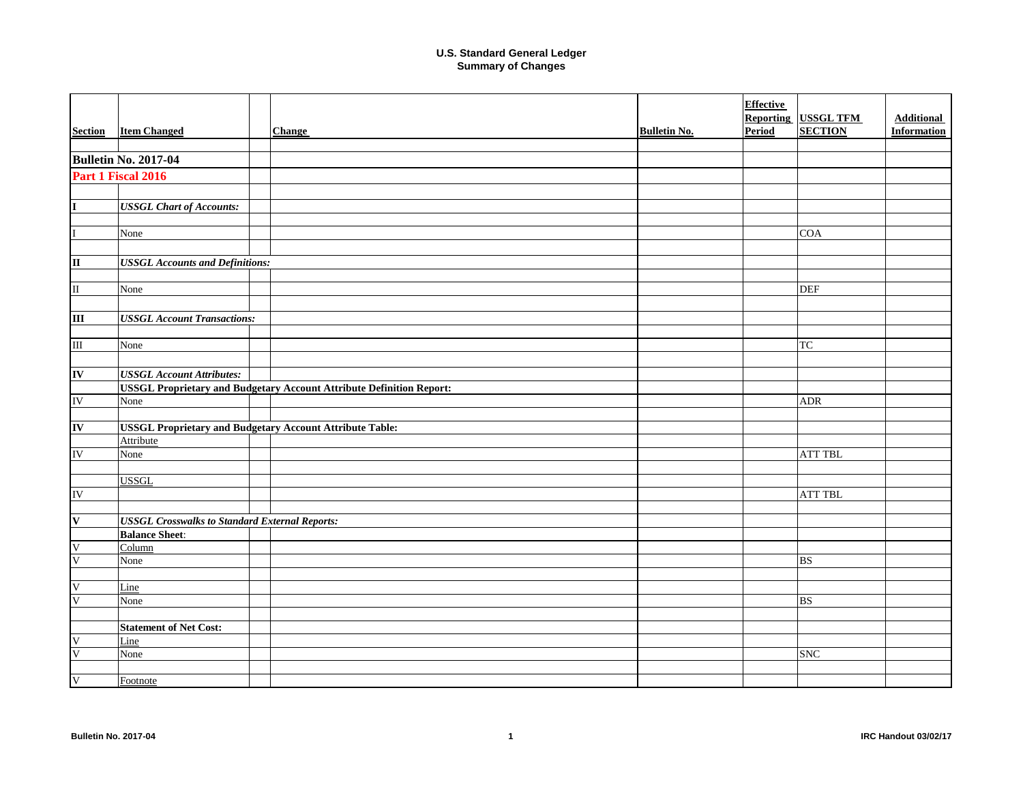| <b>Section</b>               | <b>Item Changed</b>                                                         |  | <b>Change</b> | <b>Bulletin No.</b> | <b>Effective</b><br><b>Reporting</b><br>Period | <b>USSGL TFM</b><br><b>SECTION</b> | <b>Additional</b><br><b>Information</b> |
|------------------------------|-----------------------------------------------------------------------------|--|---------------|---------------------|------------------------------------------------|------------------------------------|-----------------------------------------|
|                              | <b>Bulletin No. 2017-04</b>                                                 |  |               |                     |                                                |                                    |                                         |
|                              | Part 1 Fiscal 2016                                                          |  |               |                     |                                                |                                    |                                         |
|                              |                                                                             |  |               |                     |                                                |                                    |                                         |
| $\overline{\mathbf{I}}$      | <b>USSGL Chart of Accounts:</b>                                             |  |               |                     |                                                |                                    |                                         |
|                              |                                                                             |  |               |                     |                                                |                                    |                                         |
|                              | $\overline{\text{None}}$                                                    |  |               |                     |                                                | <b>COA</b>                         |                                         |
|                              |                                                                             |  |               |                     |                                                |                                    |                                         |
| $\overline{\mathbf{u}}$      | <b>USSGL Accounts and Definitions:</b>                                      |  |               |                     |                                                |                                    |                                         |
|                              |                                                                             |  |               |                     |                                                |                                    |                                         |
| $\rm II$                     | $\overline{\text{None}}$                                                    |  |               |                     |                                                | <b>DEF</b>                         |                                         |
|                              |                                                                             |  |               |                     |                                                |                                    |                                         |
| $\overline{\mathbf{m}}$      | <b>USSGL Account Transactions:</b>                                          |  |               |                     |                                                |                                    |                                         |
|                              |                                                                             |  |               |                     |                                                |                                    |                                         |
| $\mathbf{m}$                 | None                                                                        |  |               |                     |                                                | TC                                 |                                         |
|                              |                                                                             |  |               |                     |                                                |                                    |                                         |
| $\overline{\mathbf{I}}$      | <b>USSGL Account Attributes:</b>                                            |  |               |                     |                                                |                                    |                                         |
|                              | <b>USSGL Proprietary and Budgetary Account Attribute Definition Report:</b> |  |               |                     |                                                |                                    |                                         |
| IV                           | None                                                                        |  |               |                     |                                                | <b>ADR</b>                         |                                         |
| $\overline{\mathbf{I}}$      | <b>USSGL Proprietary and Budgetary Account Attribute Table:</b>             |  |               |                     |                                                |                                    |                                         |
|                              | Attribute                                                                   |  |               |                     |                                                |                                    |                                         |
| $\overline{\rm IV}$          | None                                                                        |  |               |                     |                                                | <b>ATT TBL</b>                     |                                         |
|                              |                                                                             |  |               |                     |                                                |                                    |                                         |
|                              | <b>USSGL</b>                                                                |  |               |                     |                                                |                                    |                                         |
| ${\rm IV}$                   |                                                                             |  |               |                     |                                                | <b>ATT TBL</b>                     |                                         |
|                              |                                                                             |  |               |                     |                                                |                                    |                                         |
| $\overline{\mathbf{V}}$      | <b>USSGL Crosswalks to Standard External Reports:</b>                       |  |               |                     |                                                |                                    |                                         |
|                              | <b>Balance Sheet:</b>                                                       |  |               |                     |                                                |                                    |                                         |
| $\overline{\mathsf{v}}$      | Column                                                                      |  |               |                     |                                                |                                    |                                         |
| $\overline{\mathsf{V}}$      | None                                                                        |  |               |                     |                                                | <b>BS</b>                          |                                         |
|                              |                                                                             |  |               |                     |                                                |                                    |                                         |
| V                            | Line                                                                        |  |               |                     |                                                |                                    |                                         |
| $\mathbf{V}$                 | None                                                                        |  |               |                     |                                                | <b>BS</b>                          |                                         |
|                              |                                                                             |  |               |                     |                                                |                                    |                                         |
|                              | <b>Statement of Net Cost:</b>                                               |  |               |                     |                                                |                                    |                                         |
| V<br>$\overline{\mathsf{V}}$ | Line                                                                        |  |               |                     |                                                |                                    |                                         |
|                              | None                                                                        |  |               |                     |                                                | <b>SNC</b>                         |                                         |
| $\overline{\mathsf{V}}$      | Footnote                                                                    |  |               |                     |                                                |                                    |                                         |
|                              |                                                                             |  |               |                     |                                                |                                    |                                         |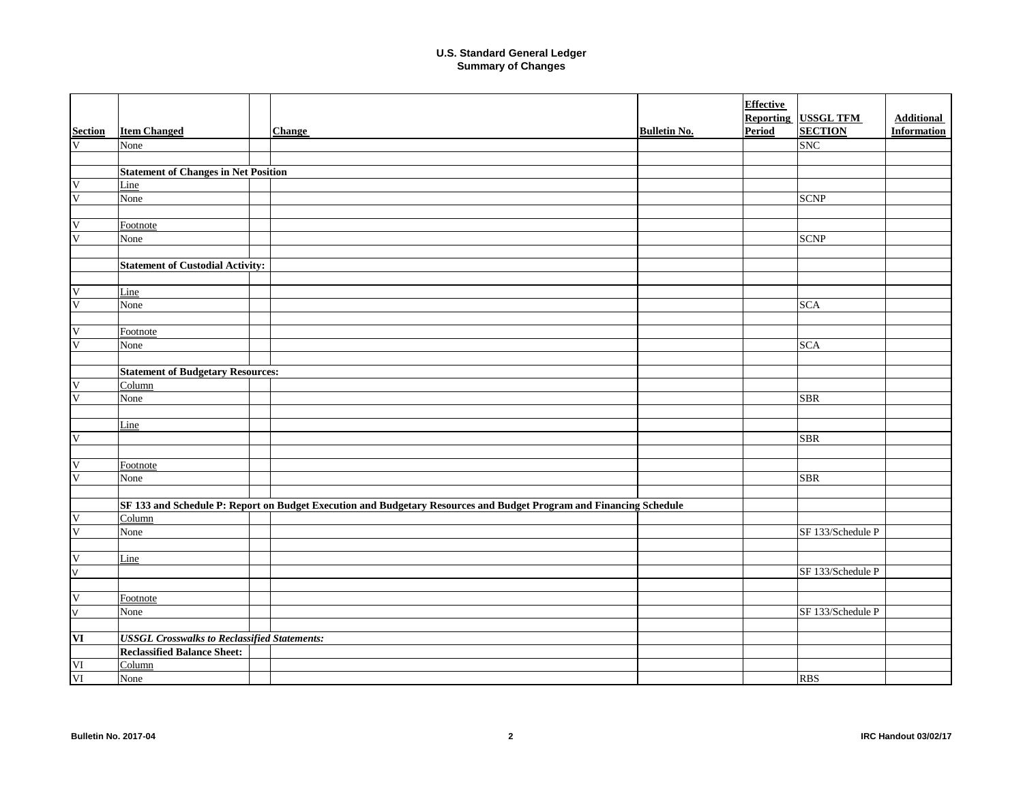|                                                      |                                                     |                                                                                                                     |                     | <b>Effective</b> |                   |                    |
|------------------------------------------------------|-----------------------------------------------------|---------------------------------------------------------------------------------------------------------------------|---------------------|------------------|-------------------|--------------------|
|                                                      |                                                     |                                                                                                                     |                     | <b>Reporting</b> | <b>USSGL TFM</b>  | <b>Additional</b>  |
| <b>Section</b>                                       | <b>Item Changed</b>                                 | <b>Change</b>                                                                                                       | <b>Bulletin No.</b> | Period           | <b>SECTION</b>    | <b>Information</b> |
| $\overline{\mathsf{V}}$                              | None                                                |                                                                                                                     |                     |                  | <b>SNC</b>        |                    |
|                                                      |                                                     |                                                                                                                     |                     |                  |                   |                    |
|                                                      | <b>Statement of Changes in Net Position</b>         |                                                                                                                     |                     |                  |                   |                    |
| $\mathbf V$                                          | Line                                                |                                                                                                                     |                     |                  |                   |                    |
| $\overline{\mathsf{V}}$                              | None                                                |                                                                                                                     |                     |                  | <b>SCNP</b>       |                    |
|                                                      |                                                     |                                                                                                                     |                     |                  |                   |                    |
| V                                                    | Footnote                                            |                                                                                                                     |                     |                  |                   |                    |
| $\overline{\mathsf{V}}$                              | None                                                |                                                                                                                     |                     |                  | <b>SCNP</b>       |                    |
|                                                      |                                                     |                                                                                                                     |                     |                  |                   |                    |
|                                                      | <b>Statement of Custodial Activity:</b>             |                                                                                                                     |                     |                  |                   |                    |
|                                                      |                                                     |                                                                                                                     |                     |                  |                   |                    |
| V                                                    | Line                                                |                                                                                                                     |                     |                  |                   |                    |
| $\overline{\mathsf{V}}$                              | None                                                |                                                                                                                     |                     |                  | <b>SCA</b>        |                    |
|                                                      |                                                     |                                                                                                                     |                     |                  |                   |                    |
| V                                                    | Footnote                                            |                                                                                                                     |                     |                  |                   |                    |
| $\mathbf V$                                          | None                                                |                                                                                                                     |                     |                  | <b>SCA</b>        |                    |
|                                                      |                                                     |                                                                                                                     |                     |                  |                   |                    |
|                                                      | <b>Statement of Budgetary Resources:</b>            |                                                                                                                     |                     |                  |                   |                    |
| $\mathbf V$                                          | Column                                              |                                                                                                                     |                     |                  |                   |                    |
| V                                                    | None                                                |                                                                                                                     |                     |                  | <b>SBR</b>        |                    |
|                                                      |                                                     |                                                                                                                     |                     |                  |                   |                    |
|                                                      | Line                                                |                                                                                                                     |                     |                  |                   |                    |
| $\overline{\mathsf{V}}$                              |                                                     |                                                                                                                     |                     |                  | <b>SBR</b>        |                    |
|                                                      |                                                     |                                                                                                                     |                     |                  |                   |                    |
| $\mathbf V$                                          | Footnote                                            |                                                                                                                     |                     |                  |                   |                    |
| $\overline{\mathsf{V}}$                              | None                                                |                                                                                                                     |                     |                  | <b>SBR</b>        |                    |
|                                                      |                                                     |                                                                                                                     |                     |                  |                   |                    |
|                                                      |                                                     |                                                                                                                     |                     |                  |                   |                    |
|                                                      |                                                     | SF 133 and Schedule P: Report on Budget Execution and Budgetary Resources and Budget Program and Financing Schedule |                     |                  |                   |                    |
| $\ensuremath{\mathsf{V}}$<br>$\overline{\mathsf{V}}$ | Column                                              |                                                                                                                     |                     |                  |                   |                    |
|                                                      | None                                                |                                                                                                                     |                     |                  | SF 133/Schedule P |                    |
|                                                      |                                                     |                                                                                                                     |                     |                  |                   |                    |
| $\mathbf V$                                          | Line                                                |                                                                                                                     |                     |                  |                   |                    |
| $\vee$                                               |                                                     |                                                                                                                     |                     |                  | SF 133/Schedule P |                    |
|                                                      |                                                     |                                                                                                                     |                     |                  |                   |                    |
| $\mathbf V$                                          | Footnote                                            |                                                                                                                     |                     |                  |                   |                    |
| $\vee$                                               | None                                                |                                                                                                                     |                     |                  | SF 133/Schedule P |                    |
|                                                      |                                                     |                                                                                                                     |                     |                  |                   |                    |
| $\overline{\mathbf{VI}}$                             | <b>USSGL Crosswalks to Reclassified Statements:</b> |                                                                                                                     |                     |                  |                   |                    |
|                                                      | <b>Reclassified Balance Sheet:</b>                  |                                                                                                                     |                     |                  |                   |                    |
| $\mbox{VI}$                                          | Column                                              |                                                                                                                     |                     |                  |                   |                    |
| VI                                                   | None                                                |                                                                                                                     |                     |                  | <b>RBS</b>        |                    |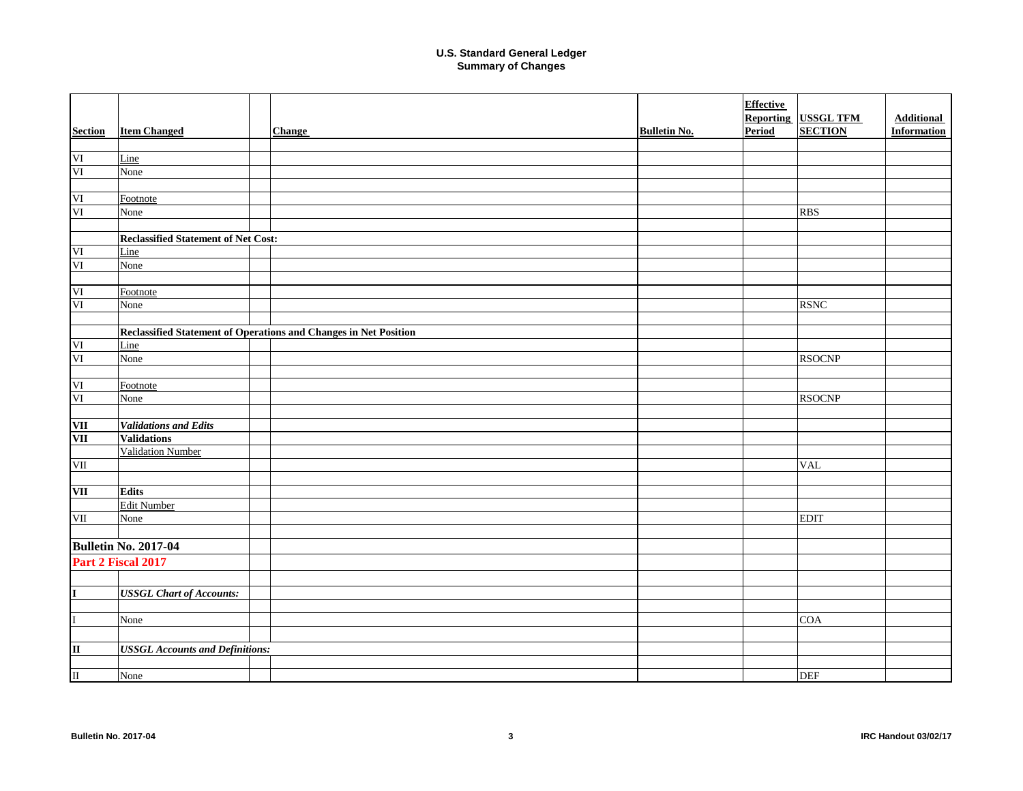| <b>Section</b>          | <b>Item Changed</b>                        | <b>Change</b>                                                    | <b>Bulletin No.</b> | <b>Effective</b><br><b>Reporting</b><br><b>Period</b> | <b>USSGL TFM</b><br><b>SECTION</b> | <b>Additional</b><br><b>Information</b> |
|-------------------------|--------------------------------------------|------------------------------------------------------------------|---------------------|-------------------------------------------------------|------------------------------------|-----------------------------------------|
|                         |                                            |                                                                  |                     |                                                       |                                    |                                         |
| VI<br>VI                | Line                                       |                                                                  |                     |                                                       |                                    |                                         |
|                         | None                                       |                                                                  |                     |                                                       |                                    |                                         |
|                         |                                            |                                                                  |                     |                                                       |                                    |                                         |
| VI                      | Footnote                                   |                                                                  |                     |                                                       |                                    |                                         |
| VI                      | None                                       |                                                                  |                     |                                                       | <b>RBS</b>                         |                                         |
|                         |                                            |                                                                  |                     |                                                       |                                    |                                         |
|                         | <b>Reclassified Statement of Net Cost:</b> |                                                                  |                     |                                                       |                                    |                                         |
| $\rm{VI}$               | Line                                       |                                                                  |                     |                                                       |                                    |                                         |
| VI                      | None                                       |                                                                  |                     |                                                       |                                    |                                         |
|                         |                                            |                                                                  |                     |                                                       |                                    |                                         |
| VI                      | Footnote                                   |                                                                  |                     |                                                       |                                    |                                         |
| VI                      | None                                       |                                                                  |                     |                                                       | <b>RSNC</b>                        |                                         |
|                         |                                            |                                                                  |                     |                                                       |                                    |                                         |
|                         |                                            | Reclassified Statement of Operations and Changes in Net Position |                     |                                                       |                                    |                                         |
| VI<br>VI                | Line                                       |                                                                  |                     |                                                       |                                    |                                         |
|                         | None                                       |                                                                  |                     |                                                       | <b>RSOCNP</b>                      |                                         |
|                         |                                            |                                                                  |                     |                                                       |                                    |                                         |
| VI                      | Footnote                                   |                                                                  |                     |                                                       |                                    |                                         |
| VI                      | None                                       |                                                                  |                     |                                                       | <b>RSOCNP</b>                      |                                         |
|                         |                                            |                                                                  |                     |                                                       |                                    |                                         |
| <b>VII</b>              | <b>Validations and Edits</b>               |                                                                  |                     |                                                       |                                    |                                         |
| <b>VII</b>              | <b>Validations</b>                         |                                                                  |                     |                                                       |                                    |                                         |
|                         | <b>Validation Number</b>                   |                                                                  |                     |                                                       |                                    |                                         |
| $\rm{VII}$              |                                            |                                                                  |                     |                                                       | <b>VAL</b>                         |                                         |
|                         |                                            |                                                                  |                     |                                                       |                                    |                                         |
| VII                     | <b>Edits</b>                               |                                                                  |                     |                                                       |                                    |                                         |
|                         | <b>Edit Number</b>                         |                                                                  |                     |                                                       |                                    |                                         |
| $\rm{VII}$              | None                                       |                                                                  |                     |                                                       | <b>EDIT</b>                        |                                         |
|                         |                                            |                                                                  |                     |                                                       |                                    |                                         |
|                         | <b>Bulletin No. 2017-04</b>                |                                                                  |                     |                                                       |                                    |                                         |
|                         | Part 2 Fiscal 2017                         |                                                                  |                     |                                                       |                                    |                                         |
|                         |                                            |                                                                  |                     |                                                       |                                    |                                         |
| I                       | <b>USSGL Chart of Accounts:</b>            |                                                                  |                     |                                                       |                                    |                                         |
|                         |                                            |                                                                  |                     |                                                       |                                    |                                         |
|                         | None                                       |                                                                  |                     |                                                       | <b>COA</b>                         |                                         |
|                         |                                            |                                                                  |                     |                                                       |                                    |                                         |
|                         |                                            |                                                                  |                     |                                                       |                                    |                                         |
| $\overline{\mathbf{u}}$ | <b>USSGL Accounts and Definitions:</b>     |                                                                  |                     |                                                       |                                    |                                         |
|                         |                                            |                                                                  |                     |                                                       |                                    |                                         |
| $\overline{\rm{II}}$    | None                                       |                                                                  |                     |                                                       | <b>DEF</b>                         |                                         |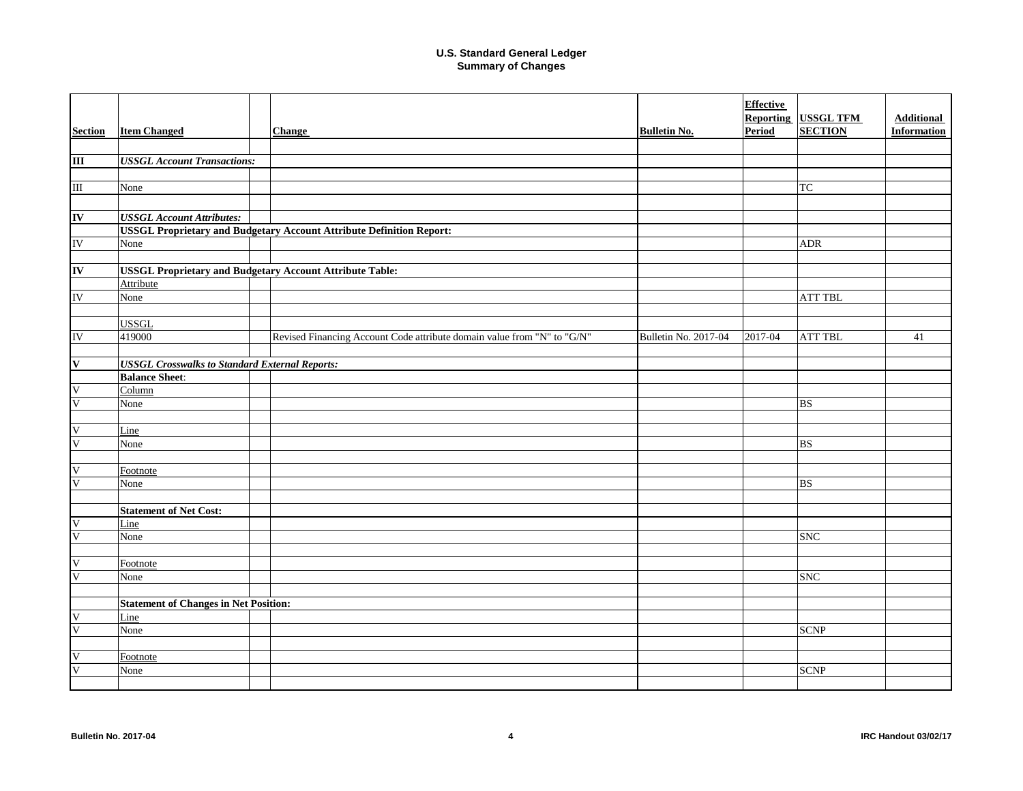| <b>Section</b>          | <b>Item Changed</b>                                             | <b>Change</b>                                                               | <b>Bulletin No.</b>  | <b>Effective</b><br><b>Reporting</b><br>Period | <b>USSGL TFM</b><br><b>SECTION</b> | <b>Additional</b><br><b>Information</b> |
|-------------------------|-----------------------------------------------------------------|-----------------------------------------------------------------------------|----------------------|------------------------------------------------|------------------------------------|-----------------------------------------|
|                         |                                                                 |                                                                             |                      |                                                |                                    |                                         |
| $\overline{\mathbf{m}}$ | <b>USSGL Account Transactions:</b>                              |                                                                             |                      |                                                |                                    |                                         |
|                         |                                                                 |                                                                             |                      |                                                |                                    |                                         |
| $\rm III$               | None                                                            |                                                                             |                      |                                                | <b>TC</b>                          |                                         |
|                         |                                                                 |                                                                             |                      |                                                |                                    |                                         |
| IV                      | <b>USSGL Account Attributes:</b>                                |                                                                             |                      |                                                |                                    |                                         |
|                         |                                                                 | <b>USSGL Proprietary and Budgetary Account Attribute Definition Report:</b> |                      |                                                |                                    |                                         |
| ${\rm IV}$              | None                                                            |                                                                             |                      |                                                | <b>ADR</b>                         |                                         |
|                         |                                                                 |                                                                             |                      |                                                |                                    |                                         |
| IV                      | <b>USSGL Proprietary and Budgetary Account Attribute Table:</b> |                                                                             |                      |                                                |                                    |                                         |
|                         | Attribute                                                       |                                                                             |                      |                                                |                                    |                                         |
| ${\rm IV}$              | None                                                            |                                                                             |                      |                                                | <b>ATT TBL</b>                     |                                         |
|                         |                                                                 |                                                                             |                      |                                                |                                    |                                         |
|                         | <b>USSGL</b>                                                    |                                                                             |                      |                                                |                                    |                                         |
| ${\rm IV}$              | 419000                                                          | Revised Financing Account Code attribute domain value from "N" to "G/N"     | Bulletin No. 2017-04 | 2017-04                                        | <b>ATT TBL</b>                     | 41                                      |
|                         |                                                                 |                                                                             |                      |                                                |                                    |                                         |
| $\overline{\mathbf{V}}$ | <b>USSGL Crosswalks to Standard External Reports:</b>           |                                                                             |                      |                                                |                                    |                                         |
|                         | <b>Balance Sheet:</b>                                           |                                                                             |                      |                                                |                                    |                                         |
| $\mathbf{V}$            | Column                                                          |                                                                             |                      |                                                |                                    |                                         |
| $\overline{\mathsf{V}}$ | None                                                            |                                                                             |                      |                                                | <b>BS</b>                          |                                         |
|                         |                                                                 |                                                                             |                      |                                                |                                    |                                         |
| $\mathbf{V}$            | Line                                                            |                                                                             |                      |                                                |                                    |                                         |
| V                       | None                                                            |                                                                             |                      |                                                | <b>BS</b>                          |                                         |
|                         |                                                                 |                                                                             |                      |                                                |                                    |                                         |
| $\mathbf V$             | Footnote                                                        |                                                                             |                      |                                                |                                    |                                         |
| V                       | None                                                            |                                                                             |                      |                                                | <b>BS</b>                          |                                         |
|                         |                                                                 |                                                                             |                      |                                                |                                    |                                         |
|                         | <b>Statement of Net Cost:</b>                                   |                                                                             |                      |                                                |                                    |                                         |
| V                       | Line                                                            |                                                                             |                      |                                                |                                    |                                         |
| $\overline{\mathsf{V}}$ | None                                                            |                                                                             |                      |                                                | <b>SNC</b>                         |                                         |
|                         |                                                                 |                                                                             |                      |                                                |                                    |                                         |
| V                       | Footnote                                                        |                                                                             |                      |                                                |                                    |                                         |
| $\overline{\mathbf{V}}$ | None                                                            |                                                                             |                      |                                                | <b>SNC</b>                         |                                         |
|                         |                                                                 |                                                                             |                      |                                                |                                    |                                         |
|                         | <b>Statement of Changes in Net Position:</b>                    |                                                                             |                      |                                                |                                    |                                         |
| V                       | Line                                                            |                                                                             |                      |                                                |                                    |                                         |
| $\overline{\mathsf{V}}$ | None                                                            |                                                                             |                      |                                                | <b>SCNP</b>                        |                                         |
|                         |                                                                 |                                                                             |                      |                                                |                                    |                                         |
| V                       | Footnote                                                        |                                                                             |                      |                                                |                                    |                                         |
| $\overline{\mathsf{V}}$ | None                                                            |                                                                             |                      |                                                | <b>SCNP</b>                        |                                         |
|                         |                                                                 |                                                                             |                      |                                                |                                    |                                         |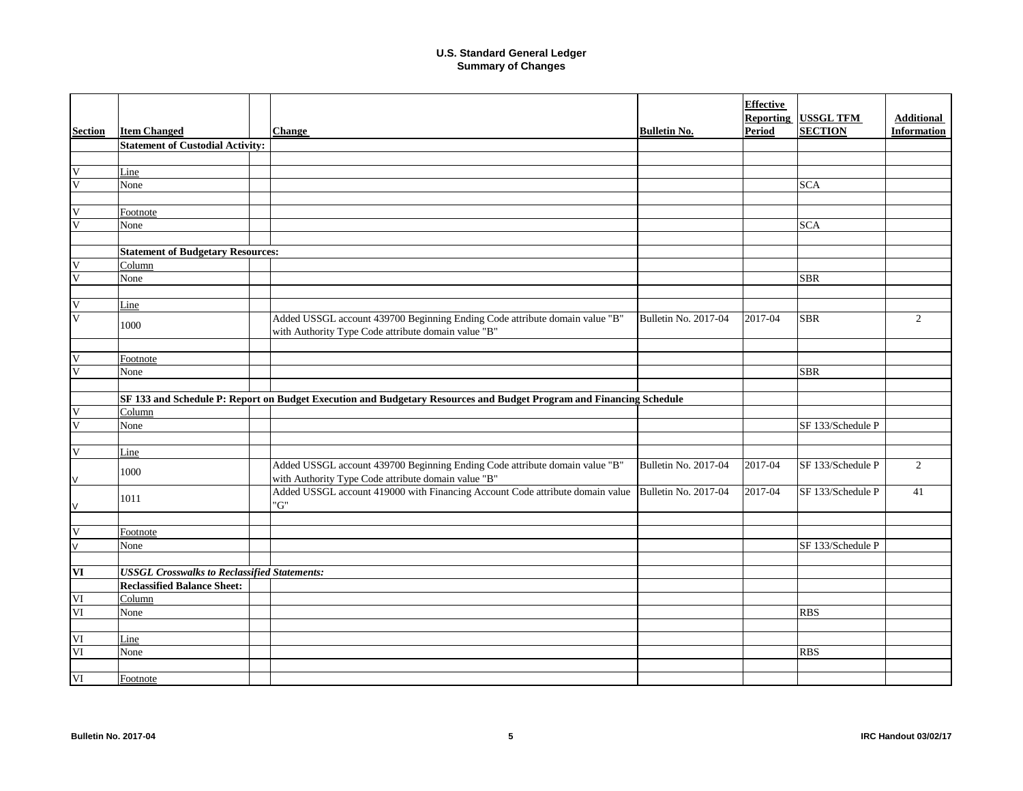|                         |                                                     |                                                                                                                                    |                             | <b>Effective</b><br><b>Reporting</b> | <b>USSGL TFM</b>  | <b>Additional</b>  |
|-------------------------|-----------------------------------------------------|------------------------------------------------------------------------------------------------------------------------------------|-----------------------------|--------------------------------------|-------------------|--------------------|
| <b>Section</b>          | <b>Item Changed</b>                                 | <b>Change</b>                                                                                                                      | <b>Bulletin No.</b>         | <b>Period</b>                        | <b>SECTION</b>    | <b>Information</b> |
|                         | <b>Statement of Custodial Activity:</b>             |                                                                                                                                    |                             |                                      |                   |                    |
| V                       |                                                     |                                                                                                                                    |                             |                                      |                   |                    |
| $\overline{\mathsf{V}}$ | Line<br>None                                        |                                                                                                                                    |                             |                                      |                   |                    |
|                         |                                                     |                                                                                                                                    |                             |                                      | <b>SCA</b>        |                    |
| V                       |                                                     |                                                                                                                                    |                             |                                      |                   |                    |
| $\overline{\mathbf{V}}$ | Footnote                                            |                                                                                                                                    |                             |                                      |                   |                    |
|                         | None                                                |                                                                                                                                    |                             |                                      | <b>SCA</b>        |                    |
|                         | <b>Statement of Budgetary Resources:</b>            |                                                                                                                                    |                             |                                      |                   |                    |
| V                       | Column                                              |                                                                                                                                    |                             |                                      |                   |                    |
| $\overline{\mathsf{V}}$ | None                                                |                                                                                                                                    |                             |                                      | <b>SBR</b>        |                    |
|                         |                                                     |                                                                                                                                    |                             |                                      |                   |                    |
| V                       |                                                     |                                                                                                                                    |                             |                                      |                   |                    |
| $\overline{\mathsf{V}}$ | Line                                                | Added USSGL account 439700 Beginning Ending Code attribute domain value "B"                                                        | <b>Bulletin No. 2017-04</b> | 2017-04                              | <b>SBR</b>        | $\overline{c}$     |
|                         | 1000                                                | with Authority Type Code attribute domain value "B"                                                                                |                             |                                      |                   |                    |
| $\overline{V}$          | Footnote                                            |                                                                                                                                    |                             |                                      |                   |                    |
| $\overline{\mathsf{V}}$ | None                                                |                                                                                                                                    |                             |                                      | <b>SBR</b>        |                    |
|                         |                                                     |                                                                                                                                    |                             |                                      |                   |                    |
|                         |                                                     | SF 133 and Schedule P: Report on Budget Execution and Budgetary Resources and Budget Program and Financing Schedule                |                             |                                      |                   |                    |
| V                       | Column                                              |                                                                                                                                    |                             |                                      |                   |                    |
| $\overline{\mathbf{V}}$ | None                                                |                                                                                                                                    |                             |                                      | SF 133/Schedule P |                    |
|                         |                                                     |                                                                                                                                    |                             |                                      |                   |                    |
| V                       | Line                                                |                                                                                                                                    |                             |                                      |                   |                    |
|                         | 1000                                                | Added USSGL account 439700 Beginning Ending Code attribute domain value "B"<br>with Authority Type Code attribute domain value "B" | Bulletin No. 2017-04        | 2017-04                              | SF 133/Schedule P | $\overline{2}$     |
|                         |                                                     | Added USSGL account 419000 with Financing Account Code attribute domain value Bulletin No. 2017-04                                 |                             | 2017-04                              | SF 133/Schedule P | 41                 |
| $\vee$                  | 1011                                                | "G"                                                                                                                                |                             |                                      |                   |                    |
|                         |                                                     |                                                                                                                                    |                             |                                      |                   |                    |
| V                       | Footnote                                            |                                                                                                                                    |                             |                                      |                   |                    |
| $\vee$                  | None                                                |                                                                                                                                    |                             |                                      | SF 133/Schedule P |                    |
|                         |                                                     |                                                                                                                                    |                             |                                      |                   |                    |
| $\overline{\mathbf{V}}$ | <b>USSGL Crosswalks to Reclassified Statements:</b> |                                                                                                                                    |                             |                                      |                   |                    |
|                         | <b>Reclassified Balance Sheet:</b>                  |                                                                                                                                    |                             |                                      |                   |                    |
| VI                      | Column                                              |                                                                                                                                    |                             |                                      |                   |                    |
| VI                      | None                                                |                                                                                                                                    |                             |                                      | <b>RBS</b>        |                    |
|                         |                                                     |                                                                                                                                    |                             |                                      |                   |                    |
| VI                      | Line                                                |                                                                                                                                    |                             |                                      |                   |                    |
| VI                      | None                                                |                                                                                                                                    |                             |                                      | <b>RBS</b>        |                    |
|                         |                                                     |                                                                                                                                    |                             |                                      |                   |                    |
| VI                      | Footnote                                            |                                                                                                                                    |                             |                                      |                   |                    |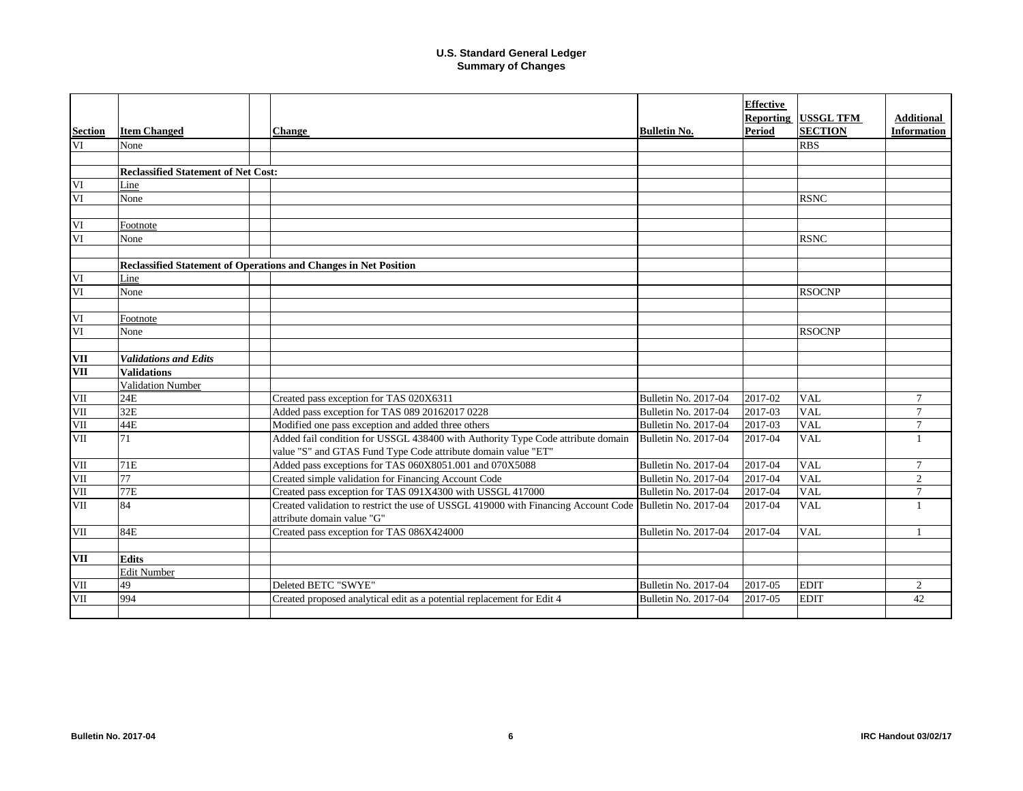|                |                                            |                                                                                                         |                                              | <b>Effective</b>                  |                                    |                                         |
|----------------|--------------------------------------------|---------------------------------------------------------------------------------------------------------|----------------------------------------------|-----------------------------------|------------------------------------|-----------------------------------------|
| <b>Section</b> | <b>Item Changed</b>                        | <b>Change</b>                                                                                           | <b>Bulletin No.</b>                          | <b>Reporting</b><br><b>Period</b> | <b>USSGL TFM</b><br><b>SECTION</b> | <b>Additional</b><br><b>Information</b> |
| VI             | None                                       |                                                                                                         |                                              |                                   | <b>RBS</b>                         |                                         |
|                |                                            |                                                                                                         |                                              |                                   |                                    |                                         |
|                | <b>Reclassified Statement of Net Cost:</b> |                                                                                                         |                                              |                                   |                                    |                                         |
| VI             | Line                                       |                                                                                                         |                                              |                                   |                                    |                                         |
| VI             | None                                       |                                                                                                         |                                              |                                   | <b>RSNC</b>                        |                                         |
|                |                                            |                                                                                                         |                                              |                                   |                                    |                                         |
| VI             | Footnote                                   |                                                                                                         |                                              |                                   |                                    |                                         |
| VI             | None                                       |                                                                                                         |                                              |                                   | <b>RSNC</b>                        |                                         |
|                |                                            |                                                                                                         |                                              |                                   |                                    |                                         |
|                |                                            | <b>Reclassified Statement of Operations and Changes in Net Position</b>                                 |                                              |                                   |                                    |                                         |
| VI             | Line                                       |                                                                                                         |                                              |                                   |                                    |                                         |
| VI             | None                                       |                                                                                                         |                                              |                                   | <b>RSOCNP</b>                      |                                         |
|                |                                            |                                                                                                         |                                              |                                   |                                    |                                         |
| VI             | Footnote                                   |                                                                                                         |                                              |                                   |                                    |                                         |
| VI             | None                                       |                                                                                                         |                                              |                                   | <b>RSOCNP</b>                      |                                         |
|                |                                            |                                                                                                         |                                              |                                   |                                    |                                         |
| <b>VII</b>     | <b>Validations and Edits</b>               |                                                                                                         |                                              |                                   |                                    |                                         |
| <b>VII</b>     | <b>Validations</b>                         |                                                                                                         |                                              |                                   |                                    |                                         |
|                | <b>Validation Number</b>                   |                                                                                                         |                                              |                                   |                                    |                                         |
| VII            | 24E                                        | Created pass exception for TAS 020X6311                                                                 | Bulletin No. 2017-04                         | 2017-02                           | <b>VAL</b>                         | $\tau$                                  |
| VII            | 32E                                        | Added pass exception for TAS 089 20162017 0228                                                          | Bulletin No. 2017-04                         | 2017-03                           | <b>VAL</b>                         | $\tau$                                  |
| VII            | 44E                                        | Modified one pass exception and added three others                                                      | Bulletin No. 2017-04                         | 2017-03                           | <b>VAL</b>                         | $\tau$                                  |
| VII            | 71                                         | Added fail condition for USSGL 438400 with Authority Type Code attribute domain                         | Bulletin No. 2017-04                         | 2017-04                           | <b>VAL</b>                         | -1                                      |
|                |                                            | value "S" and GTAS Fund Type Code attribute domain value "ET"                                           |                                              |                                   |                                    |                                         |
| VII            | 71E                                        | Added pass exceptions for TAS 060X8051.001 and 070X5088                                                 | Bulletin No. 2017-04                         | 2017-04                           | <b>VAL</b>                         | $\tau$                                  |
| VII            | 77                                         | Created simple validation for Financing Account Code                                                    | Bulletin No. 2017-04                         | 2017-04                           | <b>VAL</b>                         | $\mathfrak{2}$                          |
| VII            | <b>77E</b>                                 | Created pass exception for TAS 091X4300 with USSGL 417000                                               | Bulletin No. 2017-04                         | 2017-04                           | <b>VAL</b>                         | $\tau$                                  |
| VII            | 84                                         | Created validation to restrict the use of USSGL 419000 with Financing Account Code Bulletin No. 2017-04 |                                              | 2017-04                           | <b>VAL</b>                         |                                         |
|                |                                            | attribute domain value "G"                                                                              |                                              |                                   |                                    |                                         |
| VII            | 84E                                        | Created pass exception for TAS 086X424000                                                               | Bulletin No. 2017-04                         | 2017-04                           | <b>VAL</b>                         |                                         |
|                |                                            |                                                                                                         |                                              |                                   |                                    |                                         |
| <b>VII</b>     | <b>Edits</b>                               |                                                                                                         |                                              |                                   |                                    |                                         |
|                | Edit Number                                |                                                                                                         |                                              |                                   |                                    |                                         |
| $\rm{VII}$     | 49<br>994                                  | Deleted BETC "SWYE"                                                                                     | Bulletin No. 2017-04<br>Bulletin No. 2017-04 | 2017-05<br>2017-05                | <b>EDIT</b><br><b>EDIT</b>         | 2<br>42                                 |
| VII            |                                            | Created proposed analytical edit as a potential replacement for Edit 4                                  |                                              |                                   |                                    |                                         |
|                |                                            |                                                                                                         |                                              |                                   |                                    |                                         |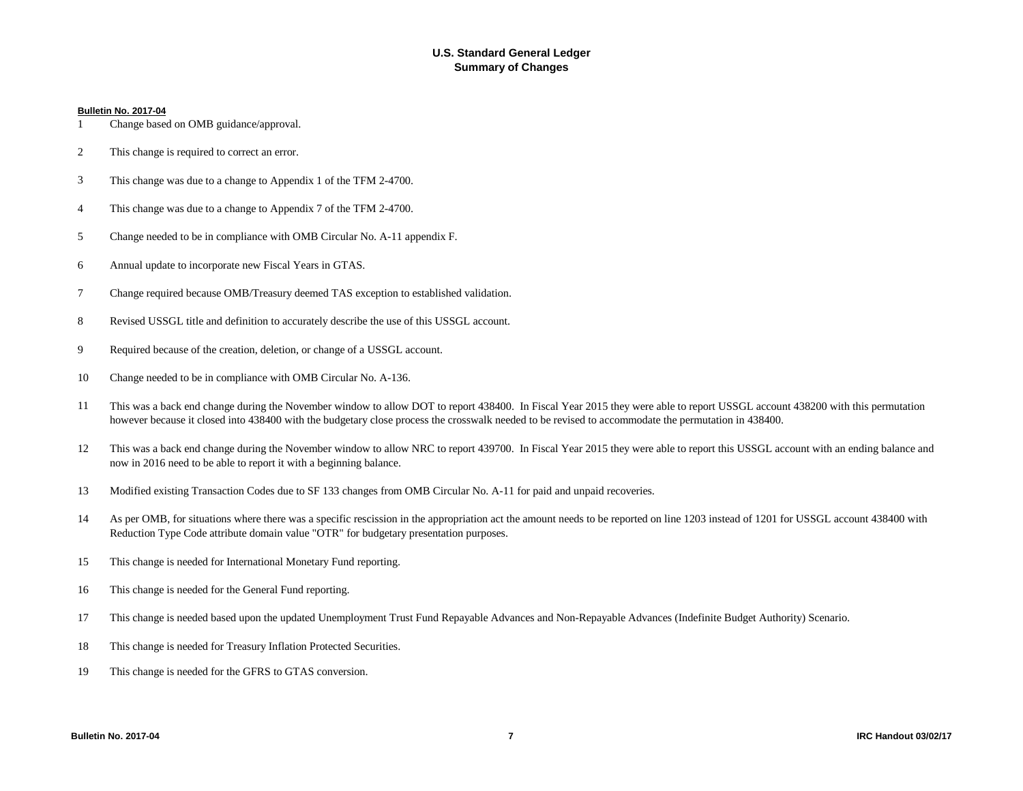#### **Bulletin No. 2017-04**

- Change based on OMB guidance/approval.
- This change is required to correct an error.
- This change was due to a change to Appendix 1 of the TFM 2-4700.
- This change was due to a change to Appendix 7 of the TFM 2-4700.
- Change needed to be in compliance with OMB Circular No. A-11 appendix F.
- Annual update to incorporate new Fiscal Years in GTAS.
- Change required because OMB/Treasury deemed TAS exception to established validation.
- Revised USSGL title and definition to accurately describe the use of this USSGL account.
- Required because of the creation, deletion, or change of a USSGL account.
- Change needed to be in compliance with OMB Circular No. A-136.
- This was a back end change during the November window to allow DOT to report 438400. In Fiscal Year 2015 they were able to report USSGL account 438200 with this permutation however because it closed into 438400 with the budgetary close process the crosswalk needed to be revised to accommodate the permutation in 438400.
- This was a back end change during the November window to allow NRC to report 439700. In Fiscal Year 2015 they were able to report this USSGL account with an ending balance and now in 2016 need to be able to report it with a beginning balance.
- Modified existing Transaction Codes due to SF 133 changes from OMB Circular No. A-11 for paid and unpaid recoveries.
- 14 As per OMB, for situations where there was a specific rescission in the appropriation act the amount needs to be reported on line 1203 instead of 1201 for USSGL account 438400 with Reduction Type Code attribute domain value "OTR" for budgetary presentation purposes.
- This change is needed for International Monetary Fund reporting.
- This change is needed for the General Fund reporting.
- This change is needed based upon the updated Unemployment Trust Fund Repayable Advances and Non-Repayable Advances (Indefinite Budget Authority) Scenario.
- This change is needed for Treasury Inflation Protected Securities.
- This change is needed for the GFRS to GTAS conversion.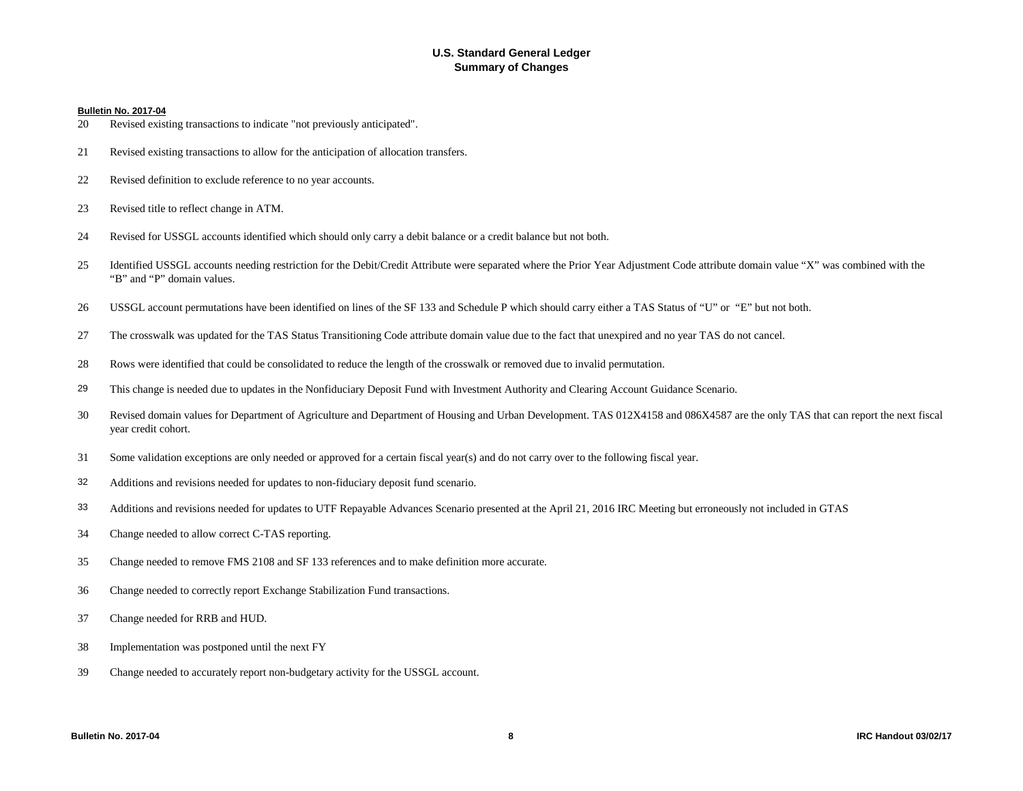#### **Bulletin No. 2017-04**

- Revised existing transactions to indicate "not previously anticipated".
- Revised existing transactions to allow for the anticipation of allocation transfers.
- Revised definition to exclude reference to no year accounts.
- Revised title to reflect change in ATM.
- Revised for USSGL accounts identified which should only carry a debit balance or a credit balance but not both.
- 25 Identified USSGL accounts needing restriction for the Debit/Credit Attribute were separated where the Prior Year Adjustment Code attribute domain value "X" was combined with the "B" and "P" domain values.
- USSGL account permutations have been identified on lines of the SF 133 and Schedule P which should carry either a TAS Status of "U" or "E" but not both.
- The crosswalk was updated for the TAS Status Transitioning Code attribute domain value due to the fact that unexpired and no year TAS do not cancel.
- Rows were identified that could be consolidated to reduce the length of the crosswalk or removed due to invalid permutation.
- This change is needed due to updates in the Nonfiduciary Deposit Fund with Investment Authority and Clearing Account Guidance Scenario.
- Revised domain values for Department of Agriculture and Department of Housing and Urban Development. TAS 012X4158 and 086X4587 are the only TAS that can report the next fiscal year credit cohort.
- Some validation exceptions are only needed or approved for a certain fiscal year(s) and do not carry over to the following fiscal year.
- Additions and revisions needed for updates to non-fiduciary deposit fund scenario.
- Additions and revisions needed for updates to UTF Repayable Advances Scenario presented at the April 21, 2016 IRC Meeting but erroneously not included in GTAS
- Change needed to allow correct C-TAS reporting.
- Change needed to remove FMS 2108 and SF 133 references and to make definition more accurate.
- Change needed to correctly report Exchange Stabilization Fund transactions.
- Change needed for RRB and HUD.
- Implementation was postponed until the next FY
- Change needed to accurately report non-budgetary activity for the USSGL account.